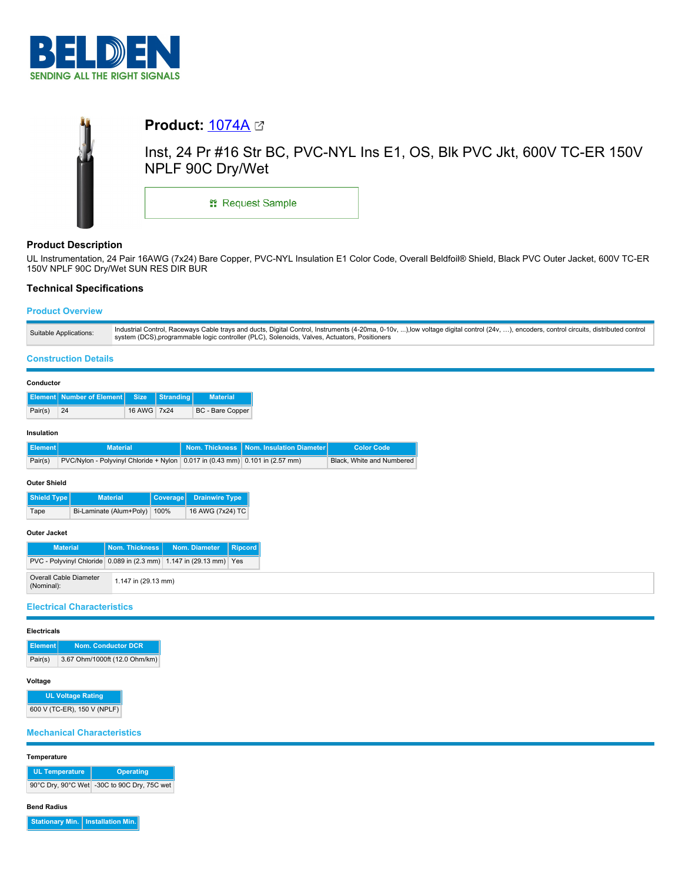



# **Product Description**

UL Instrumentation, 24 Pair 16AWG (7x24) Bare Copper, PVC-NYL Insulation E1 Color Code, Overall Beldfoil® Shield, Black PVC Outer Jacket, 600V TC-ER 150V NPLF 90C Dry/Wet SUN RES DIR BUR

# **Technical Specifications**

# **Product Overview**

## **Construction Details**

|                                                                                           | Conductor           |                           |             |                  |                           |                                           |                   |  |
|-------------------------------------------------------------------------------------------|---------------------|---------------------------|-------------|------------------|---------------------------|-------------------------------------------|-------------------|--|
|                                                                                           |                     | Element Number of Element | <b>Size</b> | <b>Stranding</b> | <b>Material</b>           |                                           |                   |  |
|                                                                                           | Pair(s)             | 24                        | 16 AWG 7x24 |                  | <b>BC</b> - Bare Copper   |                                           |                   |  |
|                                                                                           | Insulation          |                           |             |                  |                           |                                           |                   |  |
|                                                                                           | Element             | <b>Material</b>           |             |                  |                           | Nom. Thickness   Nom. Insulation Diameter | <b>Color Code</b> |  |
| Pair(s)<br>PVC/Nylon - Polyvinyl Chloride + Nylon   0.017 in (0.43 mm) 0.101 in (2.57 mm) |                     |                           |             |                  | Black, White and Numbered |                                           |                   |  |
|                                                                                           | <b>Outer Shield</b> |                           |             |                  |                           |                                           |                   |  |

| l Shield Tvpe l | <b>Material</b>              | Coverage Drainwire Type |
|-----------------|------------------------------|-------------------------|
| Tape            | Bi-Laminate (Alum+Poly) 100% | 16 AWG (7x24) TC        |
|                 |                              |                         |

# **Outer Jacket**

| <b>Material</b>                                                    |                     | Nom. Thickness   Nom. Diameter | Ripcord |  |
|--------------------------------------------------------------------|---------------------|--------------------------------|---------|--|
| PVC - Polyvinyl Chloride 0.089 in (2.3 mm) 1.147 in (29.13 mm) Yes |                     |                                |         |  |
| Overall Cable Diameter<br>(Nominal):                               | 1.147 in (29.13 mm) |                                |         |  |

# **Electrical Characteristics**

# **Electricals**

| Element | Nom. Conductor DCR            |
|---------|-------------------------------|
| Pair(s) | 3.67 Ohm/1000ft (12.0 Ohm/km) |

# **Voltage**

**UL Voltage Rating** 600 V (TC-ER), 150 V (NPLF)

# **Mechanical Characteristics**

**Temperature**

| <b>UL Temperature</b> | <b>Operating</b>                            |  |  |
|-----------------------|---------------------------------------------|--|--|
|                       | 90°C Dry, 90°C Wet -30C to 90C Dry, 75C wet |  |  |

# **Bend Radius**

**Stationary Min. Installation Min.**